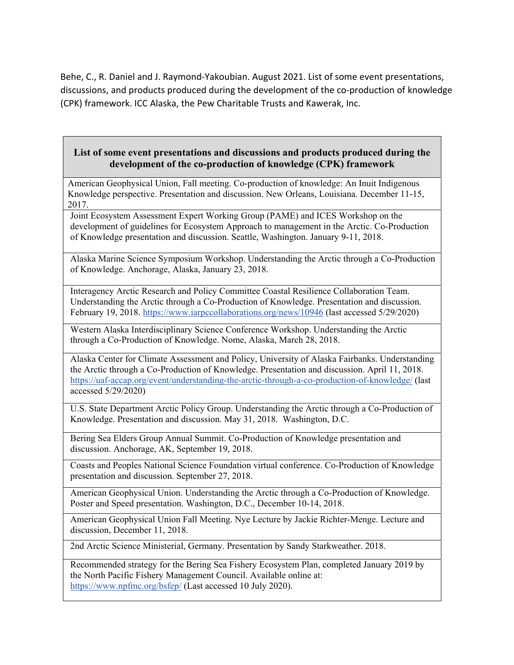Behe, C., R. Daniel and J. Raymond‐Yakoubian. August 2021. List of some event presentations, discussions, and products produced during the development of the co‐production of knowledge (CPK) framework. ICC Alaska, the Pew Charitable Trusts and Kawerak, Inc.

## **List of some event presentations and discussions and products produced during the development of the co-production of knowledge (CPK) framework**

American Geophysical Union, Fall meeting. Co-production of knowledge: An Inuit Indigenous Knowledge perspective. Presentation and discussion. New Orleans, Louisiana. December 11-15, 2017.

Joint Ecosystem Assessment Expert Working Group (PAME) and ICES Workshop on the development of guidelines for Ecosystem Approach to management in the Arctic. Co-Production of Knowledge presentation and discussion. Seattle, Washington. January 9-11, 2018.

Alaska Marine Science Symposium Workshop. Understanding the Arctic through a Co-Production of Knowledge. Anchorage, Alaska, January 23, 2018.

Interagency Arctic Research and Policy Committee Coastal Resilience Collaboration Team. Understanding the Arctic through a Co-Production of Knowledge. Presentation and discussion. February 19, 2018. https://www.iarpccollaborations.org/news/10946 (last accessed 5/29/2020)

Western Alaska Interdisciplinary Science Conference Workshop. Understanding the Arctic through a Co-Production of Knowledge. Nome, Alaska, March 28, 2018.

Alaska Center for Climate Assessment and Policy, University of Alaska Fairbanks. Understanding the Arctic through a Co-Production of Knowledge. Presentation and discussion. April 11, 2018. https://uaf-accap.org/event/understanding-the-arctic-through-a-co-production-of-knowledge/ (last accessed 5/29/2020)

U.S. State Department Arctic Policy Group. Understanding the Arctic through a Co-Production of Knowledge. Presentation and discussion. May 31, 2018. Washington, D.C.

Bering Sea Elders Group Annual Summit. Co-Production of Knowledge presentation and discussion. Anchorage, AK, September 19, 2018.

Coasts and Peoples National Science Foundation virtual conference. Co-Production of Knowledge presentation and discussion. September 27, 2018.

American Geophysical Union. Understanding the Arctic through a Co-Production of Knowledge. Poster and Speed presentation. Washington, D.C., December 10-14, 2018.

American Geophysical Union Fall Meeting. Nye Lecture by Jackie Richter-Menge. Lecture and discussion, December 11, 2018.

2nd Arctic Science Ministerial, Germany. Presentation by Sandy Starkweather. 2018.

Recommended strategy for the Bering Sea Fishery Ecosystem Plan, completed January 2019 by the North Pacific Fishery Management Council. Available online at: https://www.npfmc.org/bsfep/ (Last accessed 10 July 2020).